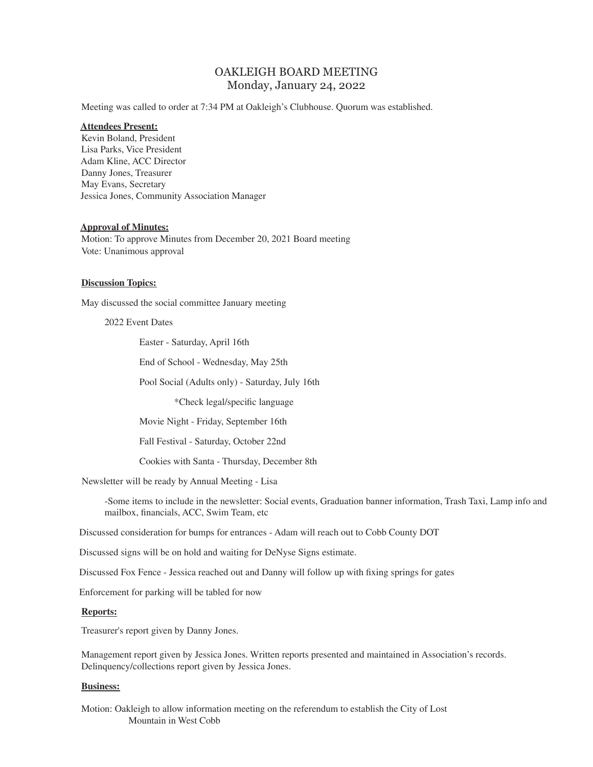# OAKLEIGH BOARD MEETING Monday, January 24, 2022

Meeting was called to order at 7:34 PM at Oakleigh's Clubhouse. Quorum was established.

#### **Attendees Present:**

Kevin Boland, President Lisa Parks, Vice President Adam Kline, ACC Director Danny Jones, Treasurer May Evans, Secretary Jessica Jones, Community Association Manager

## **Approval of Minutes:**

Motion: To approve Minutes from December 20, 2021 Board meeting Vote: Unanimous approval

#### **Discussion Topics:**

May discussed the social committee January meeting

#### 2022 Event Dates

Easter - Saturday, April 16th

End of School - Wednesday, May 25th

Pool Social (Adults only) - Saturday, July 16th

\*Check legal/specific language

Movie Night - Friday, September 16th

Fall Festival - Saturday, October 22nd

Cookies with Santa - Thursday, December 8th

Newsletter will be ready by Annual Meeting - Lisa

-Some items to include in the newsletter: Social events, Graduation banner information, Trash Taxi, Lamp info and mailbox, financials, ACC, Swim Team, etc

Discussed consideration for bumps for entrances - Adam will reach out to Cobb County DOT

Discussed signs will be on hold and waiting for DeNyse Signs estimate.

Discussed Fox Fence - Jessica reached out and Danny will follow up with fixing springs for gates

Enforcement for parking will be tabled for now

### **Reports:**

Treasurer's report given by Danny Jones.

Management report given by Jessica Jones. Written reports presented and maintained in Association's records. Delinquency/collections report given by Jessica Jones.

#### **Business:**

Motion: Oakleigh to allow information meeting on the referendum to establish the City of Lost Mountain in West Cobb